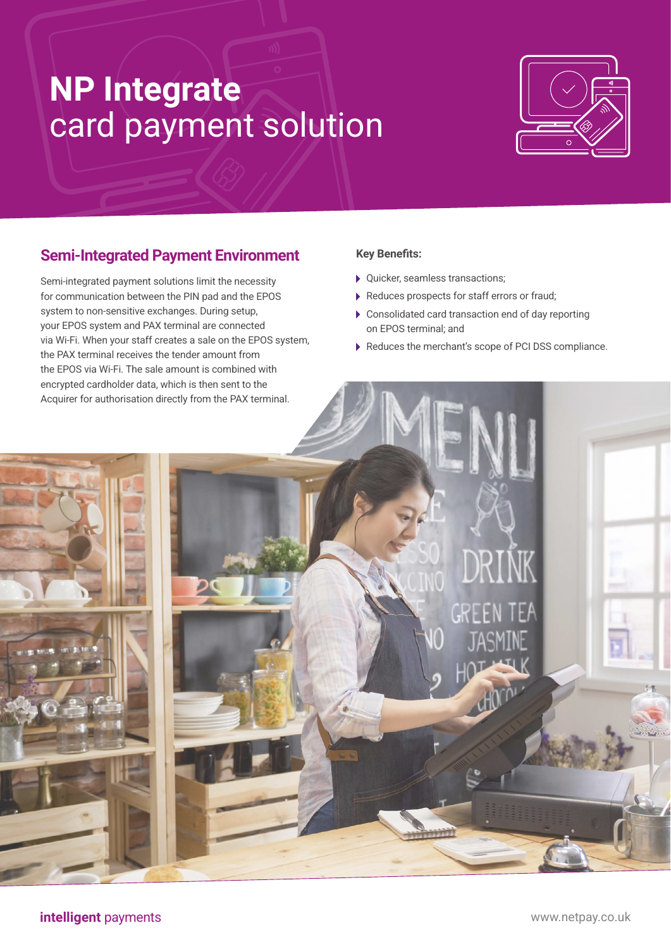# **NP Integrate** card payment solution



### **Semi-Integrated Payment Environment**

Semi-integrated payment solutions limit the necessity for communication between the PIN pad and the EPOS system to non-sensitive exchanges. During setup, your EPOS system and PAX terminal are connected via Wi-Fi. When your staff creates a sale on the EPOS system, the PAX terminal receives the tender amount from the EPOS via Wi-Fi. The sale amount is combined with encrypted cardholder data, which is then sent to the Acquirer for authorisation directly from the PAX terminal.

#### **Key Benefits:**

- Quicker, seamless transactions;
- Reduces prospects for staff errors or fraud;
- Consolidated card transaction end of day reporting on EPOS terminal; and
- Reduces the merchant's scope of PCI DSS compliance.